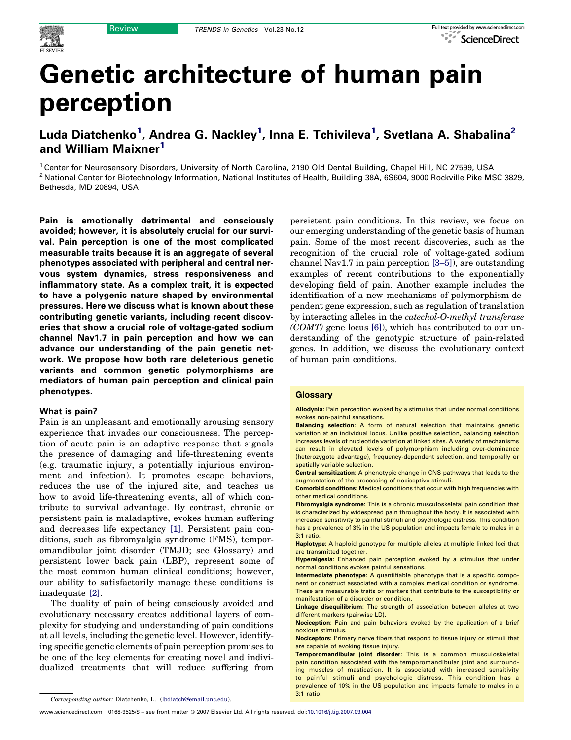# Genetic architecture of human pain perception

Luda Diatchenko<sup>1</sup>, Andrea G. Nackley<sup>1</sup>, Inna E. Tchivileva<sup>1</sup>, Svetlana A. Shabalina<sup>2</sup> and William Maixner<sup>1</sup>

<sup>1</sup> Center for Neurosensory Disorders, University of North Carolina, 2190 Old Dental Building, Chapel Hill, NC 27599, USA <sup>2</sup> National Center for Biotechnology Information, National Institutes of Health, Building 38A, 6S604, 9000 Rockville Pike MSC 3829, Bethesda, MD 20894, USA

Pain is emotionally detrimental and consciously avoided; however, it is absolutely crucial for our survival. Pain perception is one of the most complicated measurable traits because it is an aggregate of several phenotypes associated with peripheral and central nervous system dynamics, stress responsiveness and inflammatory state. As a complex trait, it is expected to have a polygenic nature shaped by environmental pressures. Here we discuss what is known about these contributing genetic variants, including recent discoveries that show a crucial role of voltage-gated sodium channel Nav1.7 in pain perception and how we can advance our understanding of the pain genetic network. We propose how both rare deleterious genetic variants and common genetic polymorphisms are mediators of human pain perception and clinical pain phenotypes.

#### What is pain?

Pain is an unpleasant and emotionally arousing sensory experience that invades our consciousness. The perception of acute pain is an adaptive response that signals the presence of damaging and life-threatening events (e.g. traumatic injury, a potentially injurious environment and infection). It promotes escape behaviors, reduces the use of the injured site, and teaches us how to avoid life-threatening events, all of which contribute to survival advantage. By contrast, chronic or persistent pain is maladaptive, evokes human suffering and decreases life expectancy [\[1\]](#page-7-0). Persistent pain conditions, such as fibromyalgia syndrome (FMS), temporomandibular joint disorder (TMJD; see Glossary) and persistent lower back pain (LBP), represent some of the most common human clinical conditions; however, our ability to satisfactorily manage these conditions is inadequate [\[2\]](#page-7-0).

The duality of pain of being consciously avoided and evolutionary necessary creates additional layers of complexity for studying and understanding of pain conditions at all levels, including the genetic level. However, identifying specific genetic elements of pain perception promises to be one of the key elements for creating novel and individualized treatments that will reduce suffering from

persistent pain conditions. In this review, we focus on our emerging understanding of the genetic basis of human pain. Some of the most recent discoveries, such as the recognition of the crucial role of voltage-gated sodium channel Nav1.7 in pain perception [\[3–5\]](#page-7-0)), are outstanding examples of recent contributions to the exponentially developing field of pain. Another example includes the identification of a new mechanisms of polymorphism-dependent gene expression, such as regulation of translation by interacting alleles in the catechol-O-methyl transferase  $(COMT)$  gene locus [\[6\]\)](#page-7-0), which has contributed to our understanding of the genotypic structure of pain-related genes. In addition, we discuss the evolutionary context of human pain conditions.

#### **Glossary**

Allodynia: Pain perception evoked by a stimulus that under normal conditions evokes non-painful sensations.

Comorbid conditions: Medical conditions that occur with high frequencies with other medical conditions.

Haplotype: A haploid genotype for multiple alleles at multiple linked loci that are transmitted together.

Hyperalgesia: Enhanced pain perception evoked by a stimulus that under normal conditions evokes painful sensations.

Intermediate phenotype: A quantifiable phenotype that is a specific component or construct associated with a complex medical condition or syndrome. These are measurable traits or markers that contribute to the susceptibility or manifestation of a disorder or condition.

Linkage disequilibrium: The strength of association between alleles at two different markers (pairwise LD).

Nociception: Pain and pain behaviors evoked by the application of a brief noxious stimulus.

Nociceptors: Primary nerve fibers that respond to tissue injury or stimuli that are capable of evoking tissue injury.

Temporomandibular joint disorder: This is a common musculoskeletal pain condition associated with the temporomandibular joint and surrounding muscles of mastication. It is associated with increased sensitivity to painful stimuli and psychologic distress. This condition has a prevalence of 10% in the US population and impacts female to males in a 3:1 ratio.

Balancing selection: A form of natural selection that maintains genetic variation at an individual locus. Unlike positive selection, balancing selection increases levels of nucleotide variation at linked sites. A variety of mechanisms can result in elevated levels of polymorphism including over-dominance (heterozygote advantage), frequency-dependent selection, and temporally or spatially variable selection.

Central sensitization: A phenotypic change in CNS pathways that leads to the augmentation of the processing of nociceptive stimuli.

Fibromyalgia syndrome: This is a chronic musculoskeletal pain condition that is characterized by widespread pain throughout the body. It is associated with increased sensitivity to painful stimuli and psychologic distress. This condition has a prevalence of 3% in the US population and impacts female to males in a 3:1 ratio.

Corresponding author: Diatchenko, L. ([lbdiatch@email.unc.edu](mailto:lbdiatch@email.unc.edu)).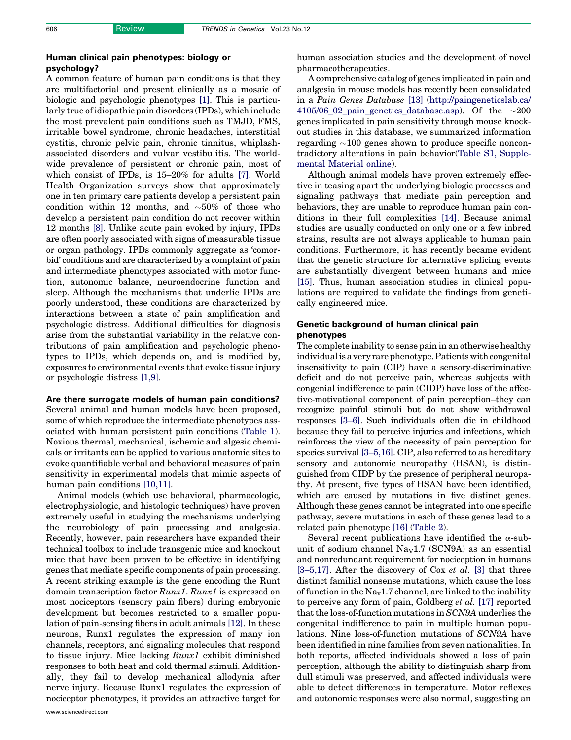# Human clinical pain phenotypes: biology or psychology?

A common feature of human pain conditions is that they are multifactorial and present clinically as a mosaic of biologic and psychologic phenotypes [\[1\].](#page-7-0) This is particularly true of idiopathic pain disorders (IPDs), which include the most prevalent pain conditions such as TMJD, FMS, irritable bowel syndrome, chronic headaches, interstitial cystitis, chronic pelvic pain, chronic tinnitus, whiplashassociated disorders and vulvar vestibulitis. The worldwide prevalence of persistent or chronic pain, most of which consist of IPDs, is 15–20% for adults [\[7\].](#page-7-0) World Health Organization surveys show that approximately one in ten primary care patients develop a persistent pain  $\text{condition}$  within  $12$  months, and  ${\sim}50\%$  of those who develop a persistent pain condition do not recover within 12 months [\[8\].](#page-7-0) Unlike acute pain evoked by injury, IPDs are often poorly associated with signs of measurable tissue or organ pathology. IPDs commonly aggregate as 'comorbid' conditions and are characterized by a complaint of pain and intermediate phenotypes associated with motor function, autonomic balance, neuroendocrine function and sleep. Although the mechanisms that underlie IPDs are poorly understood, these conditions are characterized by interactions between a state of pain amplification and psychologic distress. Additional difficulties for diagnosis arise from the substantial variability in the relative contributions of pain amplification and psychologic phenotypes to IPDs, which depends on, and is modified by, exposures to environmental events that evoke tissue injury or psychologic distress [\[1,9\]](#page-7-0).

Are there surrogate models of human pain conditions? Several animal and human models have been proposed, some of which reproduce the intermediate phenotypes associated with human persistent pain conditions ([Table 1](#page-2-0)). Noxious thermal, mechanical, ischemic and algesic chemicals or irritants can be applied to various anatomic sites to evoke quantifiable verbal and behavioral measures of pain sensitivity in experimental models that mimic aspects of human pain conditions [\[10,11\]](#page-7-0).

Animal models (which use behavioral, pharmacologic, electrophysiologic, and histologic techniques) have proven extremely useful in studying the mechanisms underlying the neurobiology of pain processing and analgesia. Recently, however, pain researchers have expanded their technical toolbox to include transgenic mice and knockout mice that have been proven to be effective in identifying genes that mediate specific components of pain processing. A recent striking example is the gene encoding the Runt domain transcription factor Runx1. Runx1 is expressed on most nociceptors (sensory pain fibers) during embryonic development but becomes restricted to a smaller population of pain-sensing fibers in adult animals [\[12\].](#page-7-0) In these neurons, Runx1 regulates the expression of many ion channels, receptors, and signaling molecules that respond to tissue injury. Mice lacking Runx1 exhibit diminished responses to both heat and cold thermal stimuli. Additionally, they fail to develop mechanical allodynia after nerve injury. Because Runx1 regulates the expression of nociceptor phenotypes, it provides an attractive target for human association studies and the development of novel pharmacotherapeutics.

A comprehensive catalog of genes implicated in pain and analgesia in mouse models has recently been consolidated in a Pain Genes Database [\[13\]](#page-7-0) [\(http://paingeneticslab.ca/](http://paingeneticslab.ca/4105/06_02_pain_genetics_database.asp)  $4105/06\_02$  pain genetics database.asp). Of the  $\sim$ 200 genes implicated in pain sensitivity through mouse knockout studies in this database, we summarized information regarding  $\sim$ 100 genes shown to produce specific noncontradictory alterations in pain behavior(Table S1, Supplemental Material online).

Although animal models have proven extremely effective in teasing apart the underlying biologic processes and signaling pathways that mediate pain perception and behaviors, they are unable to reproduce human pain conditions in their full complexities [\[14\]](#page-7-0). Because animal studies are usually conducted on only one or a few inbred strains, results are not always applicable to human pain conditions. Furthermore, it has recently became evident that the genetic structure for alternative splicing events are substantially divergent between humans and mice [\[15\]](#page-7-0). Thus, human association studies in clinical populations are required to validate the findings from genetically engineered mice.

### Genetic background of human clinical pain phenotypes

The complete inability to sense pain in an otherwise healthy individual is a very rare phenotype. Patients with congenital insensitivity to pain (CIP) have a sensory-discriminative deficit and do not perceive pain, whereas subjects with congenial indifference to pain (CIDP) have loss of the affective-motivational component of pain perception–they can recognize painful stimuli but do not show withdrawal responses [\[3–6\].](#page-7-0) Such individuals often die in childhood because they fail to perceive injuries and infections, which reinforces the view of the necessity of pain perception for species survival [\[3–5,16\].](#page-7-0) CIP, also referred to as hereditary sensory and autonomic neuropathy (HSAN), is distinguished from CIDP by the presence of peripheral neuropathy. At present, five types of HSAN have been identified, which are caused by mutations in five distinct genes. Although these genes cannot be integrated into one specific pathway, severe mutations in each of these genes lead to a related pain phenotype [\[16\]](#page-7-0) [\(Table 2](#page-3-0)).

Several recent publications have identified the  $\alpha$ -subunit of sodium channel  $\text{Na}_{\text{V}}1.7$  (SCN9A) as an essential and nonredundant requirement for nociception in humans  $[3-5,17]$ . After the discovery of Cox *et al.* [\[3\]](#page-7-0) that three distinct familial nonsense mutations, which cause the loss of function in the  $Na<sub>v</sub>1.7$  channel, are linked to the inability to perceive any form of pain, Goldberg et al. [\[17\]](#page-7-0) reported that the loss-of-function mutations in SCN9A underlies the congenital indifference to pain in multiple human populations. Nine loss-of-function mutations of SCN9A have been identified in nine families from seven nationalities. In both reports, affected individuals showed a loss of pain perception, although the ability to distinguish sharp from dull stimuli was preserved, and affected individuals were able to detect differences in temperature. Motor reflexes and autonomic responses were also normal, suggesting an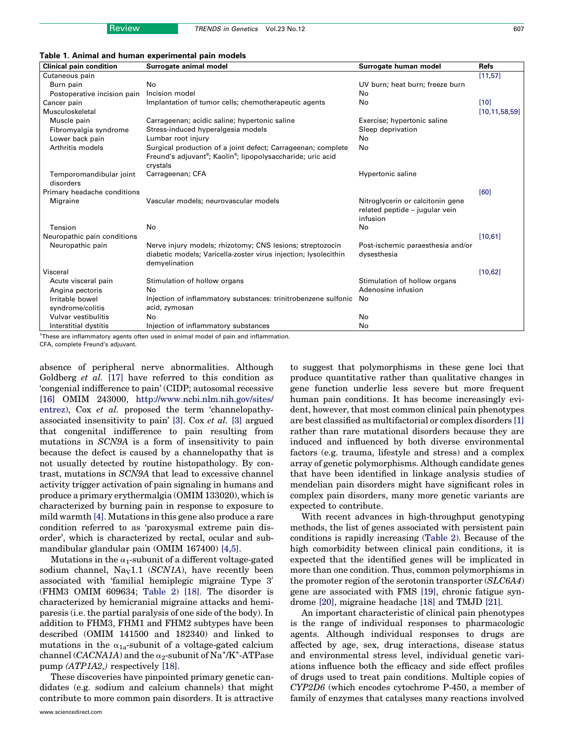| <b>Clinical pain condition</b>       | Surrogate animal model                                                                                                                                           | Surrogate human model                                                          | <b>Refs</b>      |
|--------------------------------------|------------------------------------------------------------------------------------------------------------------------------------------------------------------|--------------------------------------------------------------------------------|------------------|
| Cutaneous pain                       |                                                                                                                                                                  |                                                                                | [11, 57]         |
| Burn pain                            | No                                                                                                                                                               | UV burn; heat burn; freeze burn                                                |                  |
| Postoperative incision pain          | Incision model                                                                                                                                                   | No                                                                             |                  |
| Cancer pain                          | Implantation of tumor cells; chemotherapeutic agents                                                                                                             | No                                                                             | [10]             |
| Musculoskeletal                      |                                                                                                                                                                  |                                                                                | [10, 11, 58, 59] |
| Muscle pain                          | Carrageenan; acidic saline; hypertonic saline                                                                                                                    | Exercise; hypertonic saline                                                    |                  |
| Fibromyalgia syndrome                | Stress-induced hyperalgesia models                                                                                                                               | Sleep deprivation                                                              |                  |
| Lower back pain                      | Lumbar root injury                                                                                                                                               | No                                                                             |                  |
| Arthritis models                     | Surgical production of a joint defect; Carrageenan; complete<br>Freund's adjuvant <sup>a</sup> ; Kaolin <sup>a</sup> ; lipopolysaccharide; uric acid<br>crystals | No                                                                             |                  |
| Temporomandibular joint<br>disorders | Carrageenan; CFA                                                                                                                                                 | Hypertonic saline                                                              |                  |
| Primary headache conditions          |                                                                                                                                                                  |                                                                                | [60]             |
| Migraine                             | Vascular models; neurovascular models                                                                                                                            | Nitroglycerin or calcitonin gene<br>related peptide - jugular vein<br>infusion |                  |
| Tension                              | No                                                                                                                                                               | No                                                                             |                  |
| Neuropathic pain conditions          |                                                                                                                                                                  |                                                                                | [10, 61]         |
| Neuropathic pain                     | Nerve injury models; rhizotomy; CNS lesions; streptozocin<br>diabetic models; Varicella-zoster virus injection; lysolecithin<br>demyelination                    | Post-ischemic paraesthesia and/or<br>dysesthesia                               |                  |
| Visceral                             |                                                                                                                                                                  |                                                                                | [10,62]          |
| Acute visceral pain                  | Stimulation of hollow organs                                                                                                                                     | Stimulation of hollow organs                                                   |                  |
| Angina pectoris                      | No.                                                                                                                                                              | Adenosine infusion                                                             |                  |
| Irritable bowel<br>syndrome/colitis  | Injection of inflammatory substances: trinitrobenzene sulfonic<br>acid, zymosan                                                                                  | No                                                                             |                  |
| Vulvar vestibulitis                  | No                                                                                                                                                               | No                                                                             |                  |
| Interstitial dystitis                | Injection of inflammatory substances                                                                                                                             | No                                                                             |                  |

#### <span id="page-2-0"></span>Table 1. Animal and human experimental pain models

<sup>1</sup>These are inflammatory agents often used in animal model of pain and inflammation.

CFA, complete Freund's adjuvant.

absence of peripheral nerve abnormalities. Although Goldberg et al. [\[17\]](#page-7-0) have referred to this condition as 'congenial indifference to pain' (CIDP; autosomal recessive [\[16\]](#page-7-0) OMIM 243000, [http://www.ncbi.nlm.nih.gov/sites/](http://www.ncbi.nlm.nih.gov/sites/entrez) [entrez](http://www.ncbi.nlm.nih.gov/sites/entrez)), Cox et al. proposed the term 'channelopathyassociated insensitivity to pain' [\[3\]](#page-7-0). Cox et al. [\[3\]](#page-7-0) argued that congenital indifference to pain resulting from mutations in SCN9A is a form of insensitivity to pain because the defect is caused by a channelopathy that is not usually detected by routine histopathology. By contrast, mutations in SCN9A that lead to excessive channel activity trigger activation of pain signaling in humans and produce a primary erythermalgia (OMIM 133020), which is characterized by burning pain in response to exposure to mild warmth [\[4\].](#page-7-0) Mutations in this gene also produce a rare condition referred to as 'paroxysmal extreme pain disorder', which is characterized by rectal, ocular and submandibular glandular pain (OMIM 167400) [\[4,5\]](#page-7-0).

Mutations in the  $\alpha_1$ -subunit of a different voltage-gated sodium channel,  $\text{Na}_{\text{V}}1.1$  (SCN1A), have recently been associated with 'familial hemiplegic migraine Type 3' (FHM3 OMIM 609634; [Table 2\)](#page-3-0) [\[18\]](#page-7-0). The disorder is characterized by hemicranial migraine attacks and hemiparesis (i.e. the partial paralysis of one side of the body). In addition to FHM3, FHM1 and FHM2 subtypes have been described (OMIM 141500 and 182340) and linked to mutations in the  $\alpha_{1a}$ -subunit of a voltage-gated calcium channel (*CACNA1A*) and the  $\alpha_2$ -subunit of Na<sup>+</sup>/K<sup>+</sup>-ATPase pump (ATP1A2,) respectively [\[18\]](#page-7-0).

These discoveries have pinpointed primary genetic candidates (e.g. sodium and calcium channels) that might contribute to more common pain disorders. It is attractive

www.sciencedirect.com

to suggest that polymorphisms in these gene loci that produce quantitative rather than qualitative changes in gene function underlie less severe but more frequent human pain conditions. It has become increasingly evident, however, that most common clinical pain phenotypes are best classified as multifactorial or complex disorders [\[1\]](#page-7-0) rather than rare mutational disorders because they are induced and influenced by both diverse environmental factors (e.g. trauma, lifestyle and stress) and a complex array of genetic polymorphisms. Although candidate genes that have been identified in linkage analysis studies of mendelian pain disorders might have significant roles in complex pain disorders, many more genetic variants are expected to contribute.

With recent advances in high-throughput genotyping methods, the list of genes associated with persistent pain conditions is rapidly increasing [\(Table 2](#page-3-0)). Because of the high comorbidity between clinical pain conditions, it is expected that the identified genes will be implicated in more than one condition. Thus, common polymorphisms in the promoter region of the serotonin transporter (SLC6A4) gene are associated with FMS [\[19\],](#page-7-0) chronic fatigue syndrome [\[20\],](#page-7-0) migraine headache [\[18\]](#page-7-0) and TMJD [\[21\]](#page-7-0).

An important characteristic of clinical pain phenotypes is the range of individual responses to pharmacologic agents. Although individual responses to drugs are affected by age, sex, drug interactions, disease status and environmental stress level, individual genetic variations influence both the efficacy and side effect profiles of drugs used to treat pain conditions. Multiple copies of CYP2D6 (which encodes cytochrome P-450, a member of family of enzymes that catalyses many reactions involved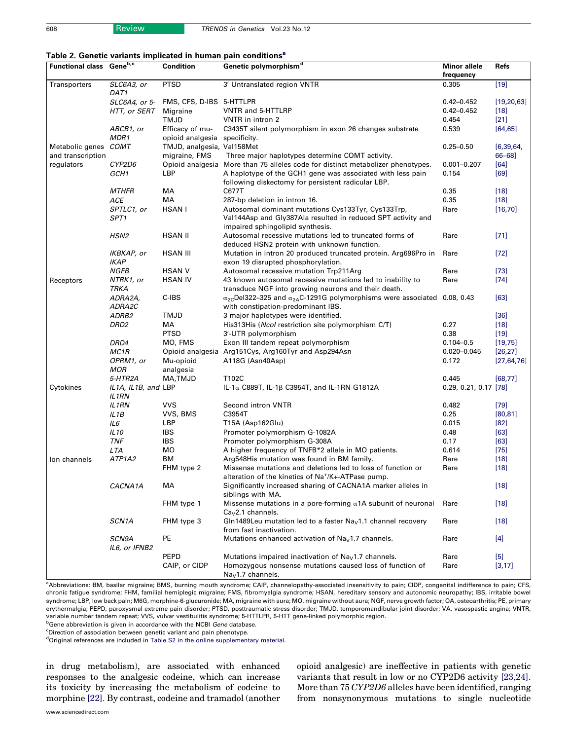<span id="page-3-0"></span>Table 2. Genetic variants implicated in human pain conditions<sup>a</sup>

| Functional class Gene <sup>b,c</sup> |                                           | Condition                     | Genetic polymorphism <sup>d</sup>                                                                                                 | <b>Minor allele</b>     | Refs         |
|--------------------------------------|-------------------------------------------|-------------------------------|-----------------------------------------------------------------------------------------------------------------------------------|-------------------------|--------------|
|                                      |                                           |                               |                                                                                                                                   | frequency               |              |
| <b>Transporters</b>                  | SLC6A3, or<br>DAT1                        | <b>PTSD</b>                   | 3' Untranslated region VNTR                                                                                                       | 0.305                   | $[19]$       |
|                                      | SLC6A4, or 5-                             | FMS, CFS, D-IBS 5-HTTLPR      |                                                                                                                                   | $0.42 - 0.452$          | [19, 20, 63] |
|                                      | HTT, or SERT                              | Migraine                      | VNTR and 5-HTTLRP                                                                                                                 | $0.42 - 0.452$          | $[18]$       |
|                                      |                                           | TMJD                          | VNTR in intron 2                                                                                                                  | 0.454                   | $[21]$       |
|                                      | ABCB1, or                                 | Efficacy of mu-               | C3435T silent polymorphism in exon 26 changes substrate                                                                           | 0.539                   | [64, 65]     |
|                                      | MDR1                                      | opioid analgesia specificity. |                                                                                                                                   |                         |              |
| Metabolic genes COMT                 |                                           | TMJD, analgesia, Val158Met    |                                                                                                                                   | $0.25 - 0.50$           | [6, 39, 64]  |
| and transcription                    |                                           | migraine, FMS                 | Three major haplotypes determine COMT activity.                                                                                   |                         | $66 - 68$    |
| regulators                           | CYP2D6                                    |                               | Opioid analgesia More than 75 alleles code for distinct metabolizer phenotypes.                                                   | $0.001 - 0.207$         | $[64]$       |
|                                      | GCH1                                      | LBP                           | A haplotype of the GCH1 gene was associated with less pain<br>following diskectomy for persistent radicular LBP.                  | 0.154                   | [69]         |
|                                      | <b>MTHFR</b>                              | МA                            | C677T                                                                                                                             | 0.35                    | $[18]$       |
|                                      | <b>ACE</b>                                | МA                            | 287-bp deletion in intron 16.                                                                                                     | 0.35                    | $[18]$       |
|                                      | SPTLC1, or                                | <b>HSAN I</b>                 | Autosomal dominant mutations Cys133Tyr, Cys133Trp,                                                                                | Rare                    | [16, 70]     |
|                                      | SPT <sub>1</sub>                          |                               | Val144Asp and Gly387Ala resulted in reduced SPT activity and<br>impaired sphingolipid synthesis.                                  |                         |              |
|                                      | HSN2                                      | <b>HSAN II</b>                | Autosomal recessive mutations led to truncated forms of<br>deduced HSN2 protein with unknown function.                            | Rare                    | $[71]$       |
|                                      | IKBKAP, or                                | <b>HSAN III</b>               | Mutation in intron 20 produced truncated protein. Arg696Pro in                                                                    | Rare                    | $[72]$       |
|                                      | <b>IKAP</b>                               |                               | exon 19 disrupted phosphorylation.                                                                                                |                         |              |
|                                      | <b>NGFB</b>                               | <b>HSAN V</b>                 | Autosomal recessive mutation Trp211Arg                                                                                            | Rare                    | $[73]$       |
| Receptors                            | NTRK1, or<br>TRKA                         | <b>HSAN IV</b>                | 43 known autosomal recessive mutations led to inability to<br>transduce NGF into growing neurons and their death.                 | Rare                    | $[74]$       |
|                                      | ADRA2A,<br>ADRA2C                         | C-IBS                         | $\alpha_{2c}$ Del322–325 and $\alpha_{2d}$ C-1291G polymorphisms were associated 0.08, 0.43<br>with constipation-predominant IBS. |                         | $[63]$       |
|                                      | ADRB2                                     | TMJD                          | 3 major haplotypes were identified.                                                                                               |                         | $[36]$       |
|                                      | DRD <sub>2</sub>                          | MA                            | His313His ( <i>Ncol</i> restriction site polymorphism C/T)                                                                        | 0.27                    | $[18]$       |
|                                      |                                           | <b>PTSD</b>                   |                                                                                                                                   |                         |              |
|                                      |                                           |                               | 3'-UTR polymorphism                                                                                                               | 0.38                    | $[19]$       |
|                                      | DRD4                                      | MO, FMS                       | Exon III tandem repeat polymorphism                                                                                               | $0.104 - 0.5$           | [19, 75]     |
|                                      | MC1R                                      |                               | Opioid analgesia Arg151Cys, Arg160Tyr and Asp294Asn                                                                               | 0.020-0.045             | [26, 27]     |
|                                      | OPRM1, or                                 | Mu-opioid                     | A118G (Asn40Asp)                                                                                                                  | 0.172                   | [27, 64, 76] |
|                                      | MOR                                       | analgesia                     |                                                                                                                                   |                         |              |
|                                      | 5-HTR2A                                   | MA,TMJD                       | T102C                                                                                                                             | 0.445                   | [68, 77]     |
| Cytokines                            | IL1A, IL1B, and LBP<br>IL <sub>1</sub> RN |                               | IL-1 $\alpha$ C889T, IL-1 $\beta$ C3954T, and IL-1RN G1812A                                                                       | $0.29, 0.21, 0.17$ [78] |              |
|                                      | IL <sub>1</sub> RN                        | <b>VVS</b>                    | Second intron VNTR                                                                                                                | 0.482                   | $[79]$       |
|                                      | IL1B                                      | VVS, BMS                      | C3954T                                                                                                                            | 0.25                    | [80, 81]     |
|                                      | IL 6                                      | LBP                           | T15A (Asp162Glu)                                                                                                                  | 0.015                   | $[82]$       |
|                                      | IL 10                                     | <b>IBS</b>                    | Promoter polymorphism G-1082A                                                                                                     | 0.48                    | $[63]$       |
|                                      | <b>TNF</b>                                | IBS                           | Promoter polymorphism G-308A                                                                                                      | 0.17                    | $[63]$       |
|                                      | <b>LTA</b>                                | MO                            | A higher frequency of TNFB*2 allele in MO patients.                                                                               | 0.614                   | $[75]$       |
| lon channels                         | ATP1A2                                    | BM                            | Arg548His mutation was found in BM family.                                                                                        | Rare                    | $[18]$       |
|                                      |                                           | FHM type 2                    | Missense mutations and deletions led to loss of function or<br>alteration of the kinetics of Na <sup>+</sup> /K+-ATPase pump.     | Rare                    | $[18]$       |
|                                      | CACNA1A                                   | МA                            | Significantly increased sharing of CACNA1A marker alleles in<br>siblings with MA.                                                 |                         | $[18]$       |
|                                      |                                           | FHM type 1                    | Missense mutations in a pore-forming $\alpha$ 1A subunit of neuronal<br>$Cav2.1$ channels.                                        | Rare                    | $[18]$       |
|                                      | SCN <sub>1</sub> A                        | FHM type 3                    | GIn1489 Leu mutation led to a faster $\text{Na}_{\text{V}}$ 1.1 channel recovery                                                  | Rare                    | $[18]$       |
|                                      | SCN9A                                     | PE                            | from fast inactivation.<br>Mutations enhanced activation of $\text{Na}_{\text{V}}1.7$ channels.                                   | Rare                    | $[4]$        |
|                                      | IL6, or IFNB2                             | <b>PEPD</b>                   | Mutations impaired inactivation of $\text{Na}_{\text{V}}$ 1.7 channels.                                                           | Rare                    | $[5]$        |
|                                      |                                           | CAIP, or CIDP                 | Homozygous nonsense mutations caused loss of function of                                                                          | Rare                    | [3, 17]      |
|                                      |                                           |                               | $Nav1.7$ channels.                                                                                                                |                         |              |

a<br>Abbreviations: BM, basilar migraine; BMS, burning mouth syndrome; CAIP, channelopathy-associated insensitivity to pain; CIDP, congenital indifference to pain; CFS, chronic fatigue syndrome; FHM, familial hemiplegic migraine; FMS, fibromyalgia syndrome; HSAN, hereditary sensory and autonomic neuropathy; IBS, irritable bowel syndrome; LBP, low back pain; M6G, morphine-6-glucuronide; MA, migraine with aura; MO, migraine without aura; NGF, nerve growth factor; OA, osteoarthritis; PE, primary erythermalgia; PEPD, paroxysmal extreme pain disorder; PTSD, posttraumatic stress disorder; TMJD, temporomandibular joint disorder; VA, vasospastic angina; VNTR, variable number tandem repeat; VVS, vulvar vestibulitis syndrome; 5-HTTLPR, 5-HTT gene-linked polymorphic region.

<sup>b</sup>Gene abbreviation is given in accordance with the NCBI *Gene* database.

<sup>c</sup>Direction of association between genetic variant and pain phenotype.

<sup>d</sup>Original references are included in [Table S2 in the online supplementary material.](#page-7-0)

in drug metabolism), are associated with enhanced responses to the analgesic codeine, which can increase its toxicity by increasing the metabolism of codeine to morphine [\[22\]](#page-7-0). By contrast, codeine and tramadol (another opioid analgesic) are ineffective in patients with genetic variants that result in low or no CYP2D6 activity [\[23,24\]](#page-7-0). More than 75 CYP2D6 alleles have been identified, ranging from nonsynonymous mutations to single nucleotide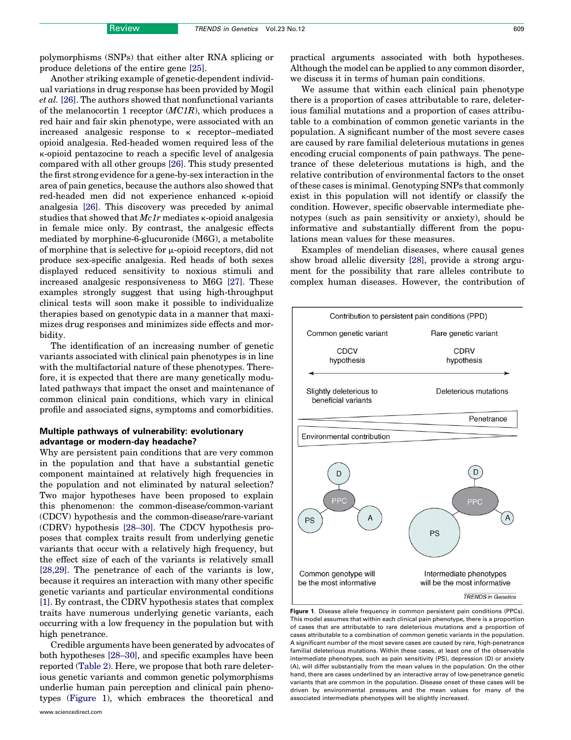polymorphisms (SNPs) that either alter RNA splicing or produce deletions of the entire gene [\[25\].](#page-7-0)

Another striking example of genetic-dependent individual variations in drug response has been provided by Mogil et al. [\[26\].](#page-7-0) The authors showed that nonfunctional variants of the melanocortin 1 receptor  $(MCIR)$ , which produces a red hair and fair skin phenotype, were associated with an increased analgesic response to k receptor–mediated opioid analgesia. Red-headed women required less of the k-opioid pentazocine to reach a specific level of analgesia compared with all other groups [\[26\]](#page-7-0). This study presented the first strong evidence for a gene-by-sex interaction in the area of pain genetics, because the authors also showed that red-headed men did not experience enhanced k-opioid analgesia [\[26\]](#page-7-0). This discovery was preceded by animal studies that showed that  $McIr$  mediates  $\kappa$ -opioid analgesia in female mice only. By contrast, the analgesic effects mediated by morphine-6-glucuronide (M6G), a metabolite of morphine that is selective for  $\mu$ -opioid receptors, did not produce sex-specific analgesia. Red heads of both sexes displayed reduced sensitivity to noxious stimuli and increased analgesic responsiveness to M6G [\[27\]](#page-7-0). These examples strongly suggest that using high-throughput clinical tests will soon make it possible to individualize therapies based on genotypic data in a manner that maximizes drug responses and minimizes side effects and morbidity.

The identification of an increasing number of genetic variants associated with clinical pain phenotypes is in line with the multifactorial nature of these phenotypes. Therefore, it is expected that there are many genetically modulated pathways that impact the onset and maintenance of common clinical pain conditions, which vary in clinical profile and associated signs, symptoms and comorbidities.

# Multiple pathways of vulnerability: evolutionary advantage or modern-day headache?

Why are persistent pain conditions that are very common in the population and that have a substantial genetic component maintained at relatively high frequencies in the population and not eliminated by natural selection? Two major hypotheses have been proposed to explain this phenomenon: the common-disease/common-variant (CDCV) hypothesis and the common-disease/rare-variant (CDRV) hypothesis [\[28–30\]](#page-7-0). The CDCV hypothesis proposes that complex traits result from underlying genetic variants that occur with a relatively high frequency, but the effect size of each of the variants is relatively small [\[28,29\]](#page-7-0). The penetrance of each of the variants is low, because it requires an interaction with many other specific genetic variants and particular environmental conditions [\[1\].](#page-7-0) By contrast, the CDRV hypothesis states that complex traits have numerous underlying genetic variants, each occurring with a low frequency in the population but with high penetrance.

Credible arguments have been generated by advocates of both hypotheses [\[28–30\]](#page-7-0), and specific examples have been reported [\(Table 2\)](#page-3-0). Here, we propose that both rare deleterious genetic variants and common genetic polymorphisms underlie human pain perception and clinical pain phenotypes (Figure 1), which embraces the theoretical and

practical arguments associated with both hypotheses. Although the model can be applied to any common disorder, we discuss it in terms of human pain conditions.

We assume that within each clinical pain phenotype there is a proportion of cases attributable to rare, deleterious familial mutations and a proportion of cases attributable to a combination of common genetic variants in the population. A significant number of the most severe cases are caused by rare familial deleterious mutations in genes encoding crucial components of pain pathways. The penetrance of these deleterious mutations is high, and the relative contribution of environmental factors to the onset of these cases is minimal. Genotyping SNPs that commonly exist in this population will not identify or classify the condition. However, specific observable intermediate phenotypes (such as pain sensitivity or anxiety), should be informative and substantially different from the populations mean values for these measures.

Examples of mendelian diseases, where causal genes show broad allelic diversity [\[28\]](#page-7-0), provide a strong argument for the possibility that rare alleles contribute to complex human diseases. However, the contribution of



Figure 1. Disease allele frequency in common persistent pain conditions (PPCs). This model assumes that within each clinical pain phenotype, there is a proportion of cases that are attributable to rare deleterious mutations and a proportion of cases attributable to a combination of common genetic variants in the population. A significant number of the most severe cases are caused by rare, high-penetrance familial deleterious mutations. Within these cases, at least one of the observable intermediate phenotypes, such as pain sensitivity (PS), depression (D) or anxiety (A), will differ substantially from the mean values in the population. On the other hand, there are cases underlined by an interactive array of low-penetrance genetic variants that are common in the population. Disease onset of these cases will be driven by environmental pressures and the mean values for many of the associated intermediate phenotypes will be slightly increased.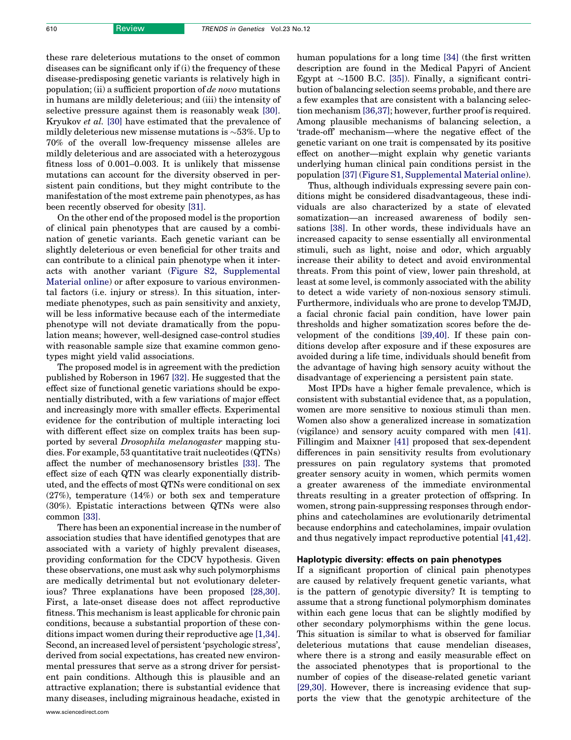these rare deleterious mutations to the onset of common diseases can be significant only if (i) the frequency of these disease-predisposing genetic variants is relatively high in population; (ii) a sufficient proportion of de novo mutations in humans are mildly deleterious; and (iii) the intensity of selective pressure against them is reasonably weak [\[30\]](#page-7-0). Kryukov et al. [\[30\]](#page-7-0) have estimated that the prevalence of mildly deleterious new missense mutations is  ${\sim}53\%$ . Up to 70% of the overall low-frequency missense alleles are mildly deleterious and are associated with a heterozygous fitness loss of 0.001–0.003. It is unlikely that missense mutations can account for the diversity observed in persistent pain conditions, but they might contribute to the manifestation of the most extreme pain phenotypes, as has been recently observed for obesity [\[31\]](#page-7-0).

On the other end of the proposed model is the proportion of clinical pain phenotypes that are caused by a combination of genetic variants. Each genetic variant can be slightly deleterious or even beneficial for other traits and can contribute to a clinical pain phenotype when it interacts with another variant (Figure S2, Supplemental Material online) or after exposure to various environmental factors (i.e. injury or stress). In this situation, intermediate phenotypes, such as pain sensitivity and anxiety, will be less informative because each of the intermediate phenotype will not deviate dramatically from the population means; however, well-designed case-control studies with reasonable sample size that examine common genotypes might yield valid associations.

The proposed model is in agreement with the prediction published by Roberson in 1967 [\[32\].](#page-7-0) He suggested that the effect size of functional genetic variations should be exponentially distributed, with a few variations of major effect and increasingly more with smaller effects. Experimental evidence for the contribution of multiple interacting loci with different effect size on complex traits has been supported by several Drosophila melanogaster mapping studies. For example, 53 quantitative trait nucleotides (QTNs) affect the number of mechanosensory bristles [\[33\].](#page-7-0) The effect size of each QTN was clearly exponentially distributed, and the effects of most QTNs were conditional on sex (27%), temperature (14%) or both sex and temperature (30%). Epistatic interactions between QTNs were also common [\[33\]](#page-7-0).

There has been an exponential increase in the number of association studies that have identified genotypes that are associated with a variety of highly prevalent diseases, providing conformation for the CDCV hypothesis. Given these observations, one must ask why such polymorphisms are medically detrimental but not evolutionary deleterious? Three explanations have been proposed [\[28,30\]](#page-7-0). First, a late-onset disease does not affect reproductive fitness. This mechanism is least applicable for chronic pain conditions, because a substantial proportion of these conditions impact women during their reproductive age [\[1,34\]](#page-7-0). Second, an increased level of persistent 'psychologic stress', derived from social expectations, has created new environmental pressures that serve as a strong driver for persistent pain conditions. Although this is plausible and an attractive explanation; there is substantial evidence that many diseases, including migrainous headache, existed in human populations for a long time [\[34\]](#page-7-0) (the first written description are found in the Medical Papyri of Ancient Egypt at  $\sim$ 1500 B.C. [\[35\]](#page-7-0)). Finally, a significant contribution of balancing selection seems probable, and there are a few examples that are consistent with a balancing selection mechanism [\[36,37\];](#page-7-0) however, further proof is required. Among plausible mechanisms of balancing selection, a 'trade-off' mechanism—where the negative effect of the genetic variant on one trait is compensated by its positive effect on another—might explain why genetic variants underlying human clinical pain conditions persist in the population [\[37\]](#page-7-0) (Figure S1, Supplemental Material online).

Thus, although individuals expressing severe pain conditions might be considered disadvantageous, these individuals are also characterized by a state of elevated somatization—an increased awareness of bodily sensations [\[38\].](#page-7-0) In other words, these individuals have an increased capacity to sense essentially all environmental stimuli, such as light, noise and odor, which arguably increase their ability to detect and avoid environmental threats. From this point of view, lower pain threshold, at least at some level, is commonly associated with the ability to detect a wide variety of non-noxious sensory stimuli. Furthermore, individuals who are prone to develop TMJD, a facial chronic facial pain condition, have lower pain thresholds and higher somatization scores before the development of the conditions [\[39,40\].](#page-7-0) If these pain conditions develop after exposure and if these exposures are avoided during a life time, individuals should benefit from the advantage of having high sensory acuity without the disadvantage of experiencing a persistent pain state.

Most IPDs have a higher female prevalence, which is consistent with substantial evidence that, as a population, women are more sensitive to noxious stimuli than men. Women also show a generalized increase in somatization (vigilance) and sensory acuity compared with men [\[41\]](#page-7-0). Fillingim and Maixner [\[41\]](#page-7-0) proposed that sex-dependent differences in pain sensitivity results from evolutionary pressures on pain regulatory systems that promoted greater sensory acuity in women, which permits women a greater awareness of the immediate environmental threats resulting in a greater protection of offspring. In women, strong pain-suppressing responses through endorphins and catecholamines are evolutionarily detrimental because endorphins and catecholamines, impair ovulation and thus negatively impact reproductive potential [\[41,42\]](#page-7-0).

#### Haplotypic diversity: effects on pain phenotypes

If a significant proportion of clinical pain phenotypes are caused by relatively frequent genetic variants, what is the pattern of genotypic diversity? It is tempting to assume that a strong functional polymorphism dominates within each gene locus that can be slightly modified by other secondary polymorphisms within the gene locus. This situation is similar to what is observed for familiar deleterious mutations that cause mendelian diseases, where there is a strong and easily measurable effect on the associated phenotypes that is proportional to the number of copies of the disease-related genetic variant [\[29,30\]](#page-7-0). However, there is increasing evidence that supports the view that the genotypic architecture of the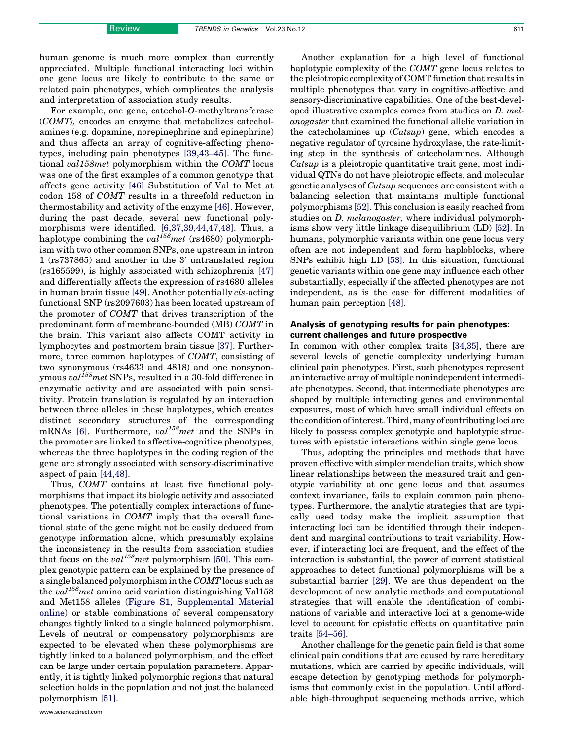human genome is much more complex than currently appreciated. Multiple functional interacting loci within one gene locus are likely to contribute to the same or related pain phenotypes, which complicates the analysis and interpretation of association study results.

For example, one gene, catechol-O-methyltransferase (COMT), encodes an enzyme that metabolizes catecholamines (e.g. dopamine, norepinephrine and epinephrine) and thus affects an array of cognitive-affecting phenotypes, including pain phenotypes [\[39,43–45\]](#page-7-0). The functional val158met polymorphism within the COMT locus was one of the first examples of a common genotype that affects gene activity [\[46\]](#page-7-0) Substitution of Val to Met at codon 158 of COMT results in a threefold reduction in thermostability and activity of the enzyme [\[46\]](#page-7-0). However, during the past decade, several new functional polymorphisms were identified. [\[6,37,39,44,47,48\].](#page-7-0) Thus, a haplotype combining the  $val^{158}$ met (rs4680) polymorphism with two other common SNPs, one upstream in intron  $1$  (rs $737865$ ) and another in the 3' untranslated region (rs165599), is highly associated with schizophrenia [\[47\]](#page-7-0) and differentially affects the expression of rs4680 alleles in human brain tissue [\[49\]](#page-8-0). Another potentially cis-acting functional SNP (rs2097603) has been located upstream of the promoter of COMT that drives transcription of the predominant form of membrane-bounded (MB) COMT in the brain. This variant also affects COMT activity in lymphocytes and postmortem brain tissue [\[37\].](#page-7-0) Furthermore, three common haplotypes of COMT, consisting of two synonymous (rs4633 and 4818) and one nonsynonymous val<sup>158</sup>met SNPs, resulted in a 30-fold difference in enzymatic activity and are associated with pain sensitivity. Protein translation is regulated by an interaction between three alleles in these haplotypes, which creates distinct secondary structures of the corresponding mRNAs [\[6\].](#page-7-0) Furthermore,  $val^{158}$ met and the SNPs in the promoter are linked to affective-cognitive phenotypes, whereas the three haplotypes in the coding region of the gene are strongly associated with sensory-discriminative aspect of pain [\[44,48\]](#page-7-0).

Thus, COMT contains at least five functional polymorphisms that impact its biologic activity and associated phenotypes. The potentially complex interactions of functional variations in COMT imply that the overall functional state of the gene might not be easily deduced from genotype information alone, which presumably explains the inconsistency in the results from association studies that focus on the  $val^{158}$ met polymorphism [\[50\]](#page-8-0). This complex genotypic pattern can be explained by the presence of a single balanced polymorphism in the COMT locus such as the  $val^{158}$ met amino acid variation distinguishing Val158 and Met158 alleles (Figure S1, Supplemental Material online) or stable combinations of several compensatory changes tightly linked to a single balanced polymorphism. Levels of neutral or compensatory polymorphisms are expected to be elevated when these polymorphisms are tightly linked to a balanced polymorphism, and the effect can be large under certain population parameters. Apparently, it is tightly linked polymorphic regions that natural selection holds in the population and not just the balanced polymorphism [\[51\]](#page-8-0).

Another explanation for a high level of functional haplotypic complexity of the COMT gene locus relates to the pleiotropic complexity of COMT function that results in multiple phenotypes that vary in cognitive-affective and sensory-discriminative capabilities. One of the best-developed illustrative examples comes from studies on D. melanogaster that examined the functional allelic variation in the catecholamines up (Catsup) gene, which encodes a negative regulator of tyrosine hydroxylase, the rate-limiting step in the synthesis of catecholamines. Although Catsup is a pleiotropic quantitative trait gene, most individual QTNs do not have pleiotropic effects, and molecular genetic analyses of Catsup sequences are consistent with a balancing selection that maintains multiple functional polymorphisms [\[52\].](#page-8-0) This conclusion is easily reached from studies on *D. melanogaster*, where individual polymorphisms show very little linkage disequilibrium (LD) [\[52\]](#page-8-0). In humans, polymorphic variants within one gene locus very often are not independent and form haploblocks, where SNPs exhibit high LD [\[53\]](#page-8-0). In this situation, functional genetic variants within one gene may influence each other substantially, especially if the affected phenotypes are not independent, as is the case for different modalities of human pain perception [\[48\]](#page-8-0).

## Analysis of genotyping results for pain phenotypes: current challenges and future prospective

In common with other complex traits [\[34,35\]](#page-7-0), there are several levels of genetic complexity underlying human clinical pain phenotypes. First, such phenotypes represent an interactive array of multiple nonindependent intermediate phenotypes. Second, that intermediate phenotypes are shaped by multiple interacting genes and environmental exposures, most of which have small individual effects on the condition of interest. Third, many of contributing loci are likely to possess complex genotypic and haplotypic structures with epistatic interactions within single gene locus.

Thus, adopting the principles and methods that have proven effective with simpler mendelian traits, which show linear relationships between the measured trait and genotypic variability at one gene locus and that assumes context invariance, fails to explain common pain phenotypes. Furthermore, the analytic strategies that are typically used today make the implicit assumption that interacting loci can be identified through their independent and marginal contributions to trait variability. However, if interacting loci are frequent, and the effect of the interaction is substantial, the power of current statistical approaches to detect functional polymorphisms will be a substantial barrier [\[29\]](#page-7-0). We are thus dependent on the development of new analytic methods and computational strategies that will enable the identification of combinations of variable and interactive loci at a genome-wide level to account for epistatic effects on quantitative pain traits [\[54–56\].](#page-8-0)

Another challenge for the genetic pain field is that some clinical pain conditions that are caused by rare hereditary mutations, which are carried by specific individuals, will escape detection by genotyping methods for polymorphisms that commonly exist in the population. Until affordable high-throughput sequencing methods arrive, which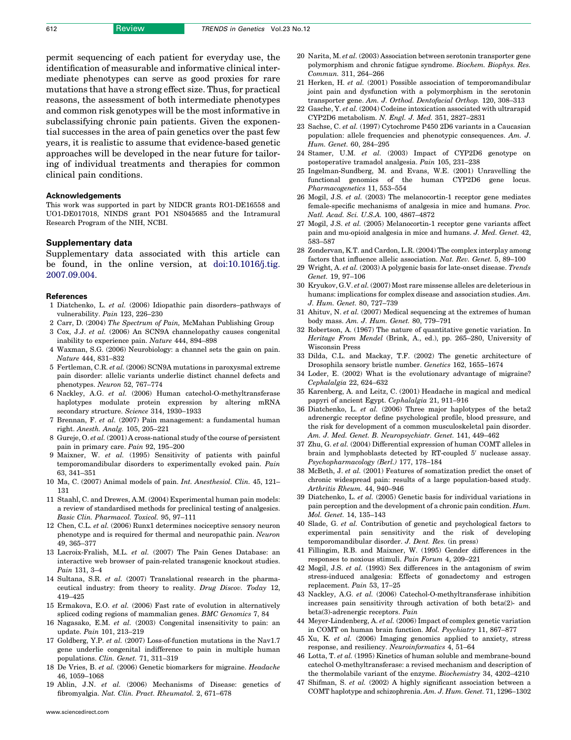<span id="page-7-0"></span>permit sequencing of each patient for everyday use, the identification of measurable and informative clinical intermediate phenotypes can serve as good proxies for rare mutations that have a strong effect size. Thus, for practical reasons, the assessment of both intermediate phenotypes and common risk genotypes will be the most informative in subclassifying chronic pain patients. Given the exponential successes in the area of pain genetics over the past few years, it is realistic to assume that evidence-based genetic approaches will be developed in the near future for tailoring of individual treatments and therapies for common clinical pain conditions.

#### Acknowledgements

This work was supported in part by NIDCR grants RO1-DE16558 and UO1-DE017018, NINDS grant PO1 NS045685 and the Intramural Research Program of the NIH, NCBI.

#### Supplementary data

Supplementary data associated with this article can be found, in the online version, at [doi:10.1016/j.tig.](http://dx.doi.org/10.1016/j.tig.2007.09.004) [2007.09.004.](http://dx.doi.org/10.1016/j.tig.2007.09.004)

#### References

- 1 Diatchenko, L. et al. (2006) Idiopathic pain disorders–pathways of vulnerability. Pain 123, 226–230
- 2 Carr, D. (2004) The Spectrum of Pain, McMahan Publishing Group
- 3 Cox, J.J. et al. (2006) An SCN9A channelopathy causes congenital inability to experience pain. Nature 444, 894–898
- 4 Waxman, S.G. (2006) Neurobiology: a channel sets the gain on pain. Nature 444, 831–832
- 5 Fertleman, C.R. et al. (2006) SCN9A mutations in paroxysmal extreme pain disorder: allelic variants underlie distinct channel defects and phenotypes. Neuron 52, 767–774
- 6 Nackley, A.G. et al. (2006) Human catechol-O-methyltransferase haplotypes modulate protein expression by altering mRNA secondary structure. Science 314, 1930–1933
- 7 Brennan, F. et al. (2007) Pain management: a fundamental human right. Anesth. Analg. 105, 205–221
- 8 Gureje, O. et al. (2001) A cross-national study of the course of persistent pain in primary care. Pain 92, 195–200
- 9 Maixner, W. et al. (1995) Sensitivity of patients with painful temporomandibular disorders to experimentally evoked pain. Pain 63, 341–351
- 10 Ma, C. (2007) Animal models of pain. Int. Anesthesiol. Clin. 45, 121– 131
- 11 Staahl, C. and Drewes, A.M. (2004) Experimental human pain models: a review of standardised methods for preclinical testing of analgesics. Basic Clin. Pharmacol. Toxicol. 95, 97–111
- 12 Chen, C.L. et al. (2006) Runx1 determines nociceptive sensory neuron phenotype and is required for thermal and neuropathic pain. Neuron 49, 365–377
- 13 Lacroix-Fralish, M.L. et al. (2007) The Pain Genes Database: an interactive web browser of pain-related transgenic knockout studies. Pain 131, 3–4
- 14 Sultana, S.R. et al. (2007) Translational research in the pharmaceutical industry: from theory to reality. Drug Discov. Today 12, 419–425
- 15 Ermakova, E.O. et al. (2006) Fast rate of evolution in alternatively spliced coding regions of mammalian genes. BMC Genomics 7, 84
- 16 Nagasako, E.M. et al. (2003) Congenital insensitivity to pain: an update. Pain 101, 213–219
- 17 Goldberg, Y.P. et al. (2007) Loss-of-function mutations in the Nav1.7 gene underlie congenital indifference to pain in multiple human populations. Clin. Genet. 71, 311–319
- 18 De Vries, B. et al. (2006) Genetic biomarkers for migraine. Headache 46, 1059–1068
- 19 Ablin, J.N. et al. (2006) Mechanisms of Disease: genetics of fibromyalgia. Nat. Clin. Pract. Rheumatol. 2, 671–678
- 20 Narita, M. et al. (2003) Association between serotonin transporter gene polymorphism and chronic fatigue syndrome. Biochem. Biophys. Res. Commun. 311, 264–266
- 21 Herken, H. et al. (2001) Possible association of temporomandibular joint pain and dysfunction with a polymorphism in the serotonin transporter gene. Am. J. Orthod. Dentofacial Orthop. 120, 308–313
- 22 Gasche, Y. et al. (2004) Codeine intoxication associated with ultrarapid CYP2D6 metabolism. N. Engl. J. Med. 351, 2827–2831
- 23 Sachse, C. et al. (1997) Cytochrome P450 2D6 variants in a Caucasian population: allele frequencies and phenotypic consequences. Am. J. Hum. Genet. 60, 284–295
- 24 Stamer, U.M. et al. (2003) Impact of CYP2D6 genotype on postoperative tramadol analgesia. Pain 105, 231–238
- 25 Ingelman-Sundberg, M. and Evans, W.E. (2001) Unravelling the functional genomics of the human CYP2D6 gene locus. Pharmacogenetics 11, 553–554
- 26 Mogil, J.S. et al. (2003) The melanocortin-1 receptor gene mediates female-specific mechanisms of analgesia in mice and humans. Proc. Natl. Acad. Sci. U.S.A. 100, 4867–4872
- 27 Mogil, J.S. et al. (2005) Melanocortin-1 receptor gene variants affect pain and mu-opioid analgesia in mice and humans. J. Med. Genet. 42, 583–587
- 28 Zondervan, K.T. and Cardon, L.R. (2004) The complex interplay among factors that influence allelic association. Nat. Rev. Genet. 5, 89–100
- 29 Wright, A. et al. (2003) A polygenic basis for late-onset disease. Trends Genet. 19, 97–106
- 30 Kryukov, G.V. et al. (2007) Most rare missense alleles are deleterious in humans: implications for complex disease and association studies. Am. J. Hum. Genet. 80, 727–739
- 31 Ahituv, N. et al. (2007) Medical sequencing at the extremes of human body mass. Am. J. Hum. Genet. 80, 779–791
- 32 Robertson, A. (1967) The nature of quantitative genetic variation. In Heritage From Mendel (Brink, A., ed.), pp. 265-280, University of Wisconsin Press
- 33 Dilda, C.L. and Mackay, T.F. (2002) The genetic architecture of Drosophila sensory bristle number. Genetics 162, 1655–1674
- 34 Loder, E. (2002) What is the evolutionary advantage of migraine? Cephalalgia 22, 624–632
- 35 Karenberg, A. and Leitz, C. (2001) Headache in magical and medical papyri of ancient Egypt. Cephalalgia 21, 911–916
- 36 Diatchenko, L. et al. (2006) Three major haplotypes of the beta2 adrenergic receptor define psychological profile, blood pressure, and the risk for development of a common musculoskeletal pain disorder. Am. J. Med. Genet. B. Neuropsychiatr. Genet. 141, 449–462
- 37 Zhu, G. et al. (2004) Differential expression of human COMT alleles in brain and lymphoblasts detected by RT-coupled 5' nuclease assay. Psychopharmacology (Berl.) 177, 178–184
- 38 McBeth, J. et al. (2001) Features of somatization predict the onset of chronic widespread pain: results of a large population-based study. Arthritis Rheum. 44, 940–946
- 39 Diatchenko, L. et al. (2005) Genetic basis for individual variations in pain perception and the development of a chronic pain condition. Hum. Mol. Genet. 14, 135–143
- 40 Slade, G. et al. Contribution of genetic and psychological factors to experimental pain sensitivity and the risk of developing temporomandibular disorder. J. Dent. Res. (in press)
- 41 Fillingim, R.B. and Maixner, W. (1995) Gender differences in the responses to noxious stimuli. Pain Forum 4, 209–221
- 42 Mogil, J.S. et al. (1993) Sex differences in the antagonism of swim stress-induced analgesia: Effects of gonadectomy and estrogen replacement. Pain 53, 17–25
- 43 Nackley, A.G. et al. (2006) Catechol-O-methyltransferase inhibition increases pain sensitivity through activation of both beta(2)- and beta(3)-adrenergic receptors. Pain
- 44 Meyer-Lindenberg, A. et al. (2006) Impact of complex genetic variation in COMT on human brain function. Mol. Psychiatry 11, 867–877
- 45 Xu, K. et al. (2006) Imaging genomics applied to anxiety, stress response, and resiliency. Neuroinformatics 4, 51–64
- 46 Lotta, T. et al. (1995) Kinetics of human soluble and membrane-bound catechol O-methyltransferase: a revised mechanism and description of the thermolabile variant of the enzyme. Biochemistry 34, 4202–4210
- 47 Shifman, S. et al. (2002) A highly significant association between a COMT haplotype and schizophrenia. Am. J. Hum. Genet. 71, 1296–1302